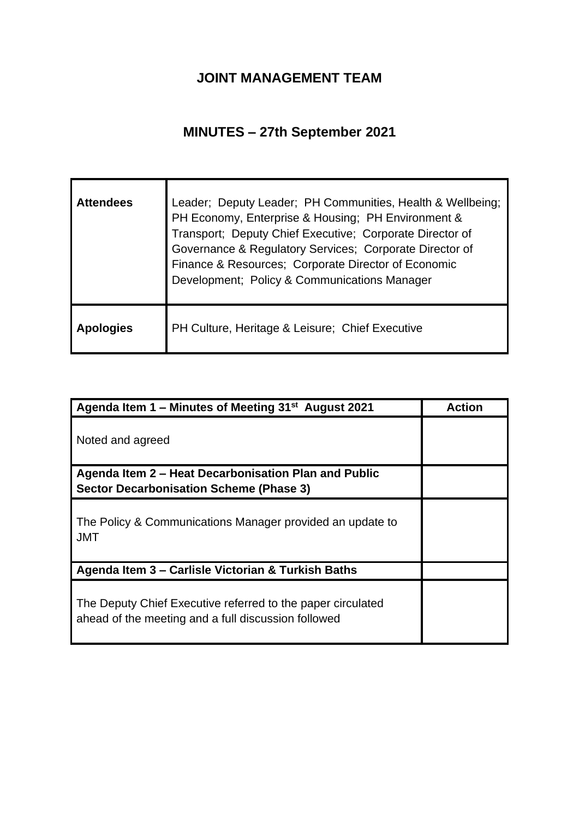## **JOINT MANAGEMENT TEAM**

## **MINUTES – 27th September 2021**

| <b>Attendees</b> | Leader; Deputy Leader; PH Communities, Health & Wellbeing;<br>PH Economy, Enterprise & Housing; PH Environment &<br>Transport; Deputy Chief Executive; Corporate Director of<br>Governance & Regulatory Services; Corporate Director of<br>Finance & Resources; Corporate Director of Economic<br>Development; Policy & Communications Manager |
|------------------|------------------------------------------------------------------------------------------------------------------------------------------------------------------------------------------------------------------------------------------------------------------------------------------------------------------------------------------------|
| <b>Apologies</b> | PH Culture, Heritage & Leisure; Chief Executive                                                                                                                                                                                                                                                                                                |

| Agenda Item 1 – Minutes of Meeting 31 <sup>st</sup> August 2021                                                    | <b>Action</b> |
|--------------------------------------------------------------------------------------------------------------------|---------------|
| Noted and agreed                                                                                                   |               |
| Agenda Item 2 – Heat Decarbonisation Plan and Public                                                               |               |
| <b>Sector Decarbonisation Scheme (Phase 3)</b>                                                                     |               |
| The Policy & Communications Manager provided an update to<br><b>JMT</b>                                            |               |
| Agenda Item 3 – Carlisle Victorian & Turkish Baths                                                                 |               |
| The Deputy Chief Executive referred to the paper circulated<br>ahead of the meeting and a full discussion followed |               |